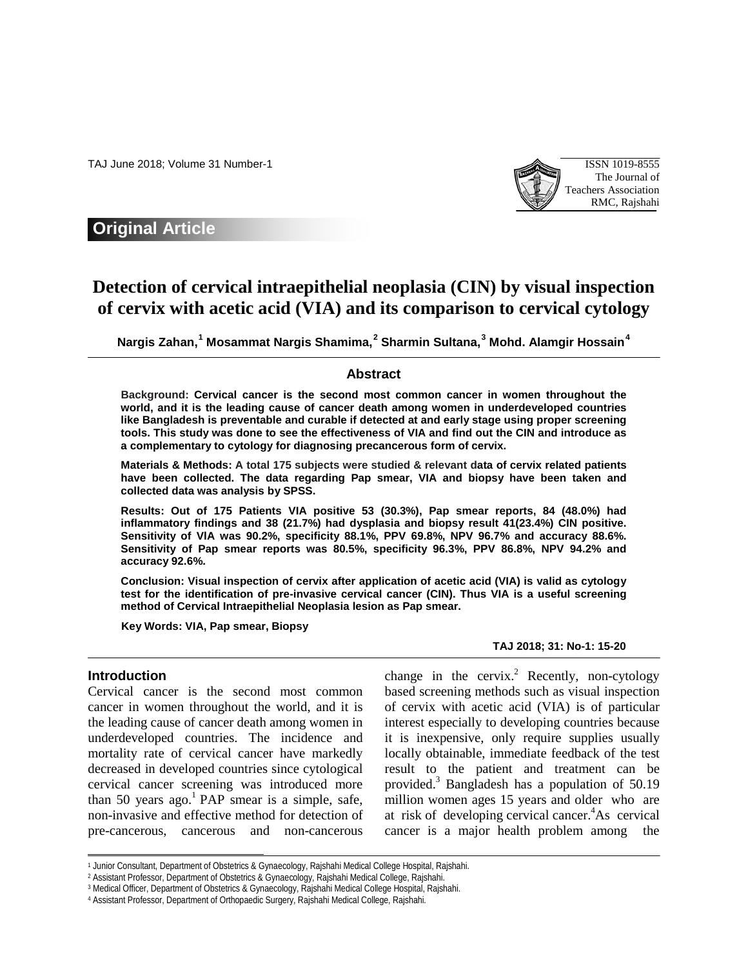TAJ June 2018; Volume 31 Number-1 ISSN 1019-8555



# **Original Article**

# **Detection of cervical intraepithelial neoplasia (CIN) by visual inspection of cervix with acetic acid (VIA) and its comparison to cervical cytology**

**Nargis Zahan, [1](#page-0-0) Mosammat Nargis Shamima, [2](#page-0-1) Sharmin Sultana, [3](#page-0-2) Mohd. Alamgir Hossain[4](#page-0-3)**

# **Abstract**

**Background: Cervical cancer is the second most common cancer in women throughout the world, and it is the leading cause of cancer death among women in underdeveloped countries like Bangladesh is preventable and curable if detected at and early stage using proper screening tools. This study was done to see the effectiveness of VIA and find out the CIN and introduce as a complementary to cytology for diagnosing precancerous form of cervix.**

**Materials & Methods: A total 175 subjects were studied & relevant data of cervix related patients have been collected. The data regarding Pap smear, VIA and biopsy have been taken and collected data was analysis by SPSS.** 

**Results: Out of 175 Patients VIA positive 53 (30.3%), Pap smear reports, 84 (48.0%) had inflammatory findings and 38 (21.7%) had dysplasia and biopsy result 41(23.4%) CIN positive. Sensitivity of VlA was 90.2%, specificity 88.1%, PPV 69.8%, NPV 96.7% and accuracy 88.6%. Sensitivity of Pap smear reports was 80.5%, specificity 96.3%, PPV 86.8%, NPV 94.2% and accuracy 92.6%.** 

**Conclusion: Visual inspection of cervix after application of acetic acid (VIA) is valid as cytology test for the identification of pre-invasive cervical cancer (CIN). Thus VIA is a useful screening method of Cervical Intraepithelial Neoplasia lesion as Pap smear.**

**Key Words: VIA, Pap smear, Biopsy**

# **TAJ 2018; 31: No-1: 15-20**

# **Introduction**

1

Cervical cancer is the second most common cancer in women throughout the world, and it is the leading cause of cancer death among women in underdeveloped countries. The incidence and mortality rate of cervical cancer have markedly decreased in developed countries since cytological cervical cancer screening was introduced more than 50 years ago.<sup>1</sup> PAP smear is a simple, safe, non-invasive and effective method for detection of pre-cancerous, cancerous and non-cancerous

change in the cervix.<sup>2</sup> Recently, non-cytology based screening methods such as visual inspection of cervix with acetic acid (VIA) is of particular interest especially to developing countries because it is inexpensive, only require supplies usually locally obtainable, immediate feedback of the test result to the patient and treatment can be provided.3 Bangladesh has a population of 50.19 million women ages 15 years and older who are at risk of developing cervical cancer.<sup>4</sup>As cervical cancer is a major health problem among the

<sup>1</sup> Junior Consultant, Department of Obstetrics & Gynaecology, Rajshahi Medical College Hospital, Rajshahi.

<sup>2</sup> Assistant Professor, Department of Obstetrics & Gynaecology, Rajshahi Medical College, Rajshahi.

<span id="page-0-3"></span><span id="page-0-2"></span><span id="page-0-1"></span><span id="page-0-0"></span><sup>3</sup> Medical Officer, Department of Obstetrics & Gynaecology, Rajshahi Medical College Hospital, Rajshahi.

<sup>4</sup> Assistant Professor, Department of Orthopaedic Surgery, Rajshahi Medical College, Rajshahi.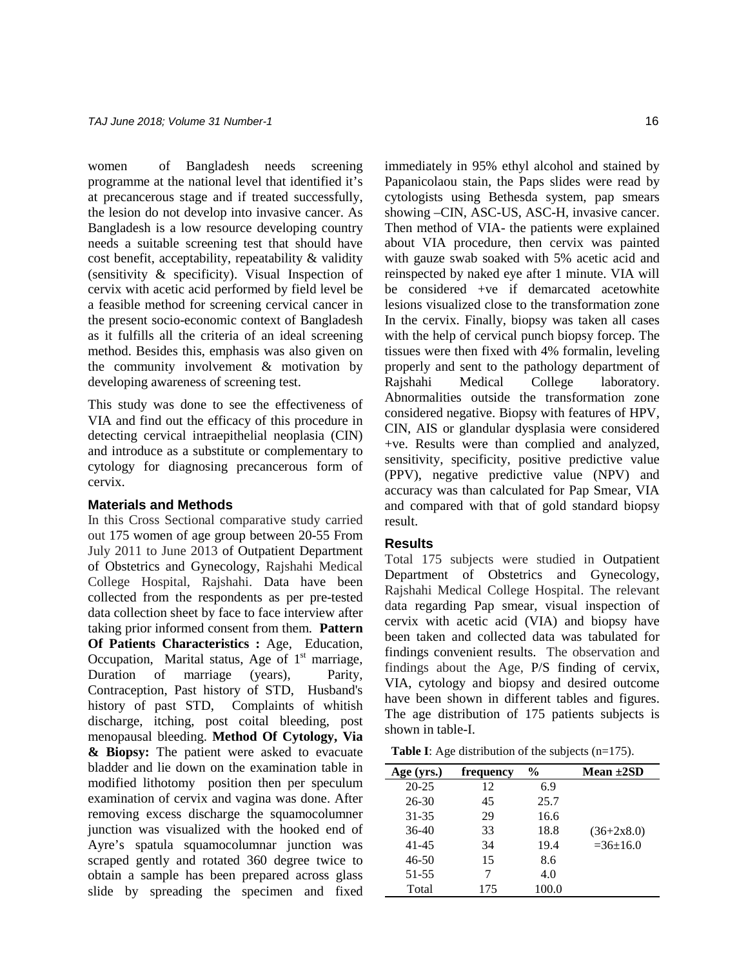women of Bangladesh needs screening programme at the national level that identified it's at precancerous stage and if treated successfully, the lesion do not develop into invasive cancer. As Bangladesh is a low resource developing country needs a suitable screening test that should have cost benefit, acceptability, repeatability & validity (sensitivity & specificity). Visual Inspection of cervix with acetic acid performed by field level be a feasible method for screening cervical cancer in the present socio-economic context of Bangladesh as it fulfills all the criteria of an ideal screening method. Besides this, emphasis was also given on the community involvement & motivation by developing awareness of screening test.

This study was done to see the effectiveness of VIA and find out the efficacy of this procedure in detecting cervical intraepithelial neoplasia (CIN) and introduce as a substitute or complementary to cytology for diagnosing precancerous form of cervix.

# **Materials and Methods**

In this Cross Sectional comparative study carried out 175 women of age group between 20-55 From July 2011 to June 2013 of Outpatient Department of Obstetrics and Gynecology, Rajshahi Medical College Hospital, Rajshahi. Data have been collected from the respondents as per pre-tested data collection sheet by face to face interview after taking prior informed consent from them. **Pattern Of Patients Characteristics :** Age, Education, Occupation, Marital status, Age of  $1<sup>st</sup>$  marriage, Duration of marriage (years), Parity, Contraception, Past history of STD, Husband's history of past STD, Complaints of whitish discharge, itching, post coital bleeding, post menopausal bleeding. **Method Of Cytology, Via & Biopsy:** The patient were asked to evacuate bladder and lie down on the examination table in modified lithotomy position then per speculum examination of cervix and vagina was done. After removing excess discharge the squamocolumner junction was visualized with the hooked end of Ayre's spatula squamocolumnar junction was scraped gently and rotated 360 degree twice to obtain a sample has been prepared across glass slide by spreading the specimen and fixed immediately in 95% ethyl alcohol and stained by Papanicolaou stain, the Paps slides were read by cytologists using Bethesda system, pap smears showing –CIN, ASC-US, ASC-H, invasive cancer. Then method of VIA- the patients were explained about VIA procedure, then cervix was painted with gauze swab soaked with 5% acetic acid and reinspected by naked eye after 1 minute. VIA will be considered +ve if demarcated acetowhite lesions visualized close to the transformation zone In the cervix. Finally, biopsy was taken all cases with the help of cervical punch biopsy forcep. The tissues were then fixed with 4% formalin, leveling properly and sent to the pathology department of Rajshahi Medical College laboratory. Abnormalities outside the transformation zone considered negative. Biopsy with features of HPV, CIN, AIS or glandular dysplasia were considered +ve. Results were than complied and analyzed, sensitivity, specificity, positive predictive value (PPV), negative predictive value (NPV) and accuracy was than calculated for Pap Smear, VIA and compared with that of gold standard biopsy result.

#### **Results**

Total 175 subjects were studied in Outpatient Department of Obstetrics and Gynecology, Rajshahi Medical College Hospital. The relevant data regarding Pap smear, visual inspection of cervix with acetic acid (VIA) and biopsy have been taken and collected data was tabulated for findings convenient results. The observation and findings about the Age, P/S finding of cervix, VIA, cytology and biopsy and desired outcome have been shown in different tables and figures. The age distribution of 175 patients subjects is shown in table-I.

|  | <b>Table I</b> : Age distribution of the subjects $(n=175)$ . |  |  |
|--|---------------------------------------------------------------|--|--|
|  |                                                               |  |  |

| Age (yrs.) | frequency | $\frac{0}{0}$ | Mean $\pm 2SD$ |
|------------|-----------|---------------|----------------|
| $20 - 25$  | 12        | 6.9           |                |
| $26-30$    | 45        | 25.7          |                |
| 31-35      | 29        | 16.6          |                |
| $36-40$    | 33        | 18.8          | $(36+2x8.0)$   |
| 41-45      | 34        | 19.4          | $=36+16.0$     |
| $46 - 50$  | 15        | 8.6           |                |
| $51 - 55$  |           | 4.0           |                |
| Total      | 175       | 100.0         |                |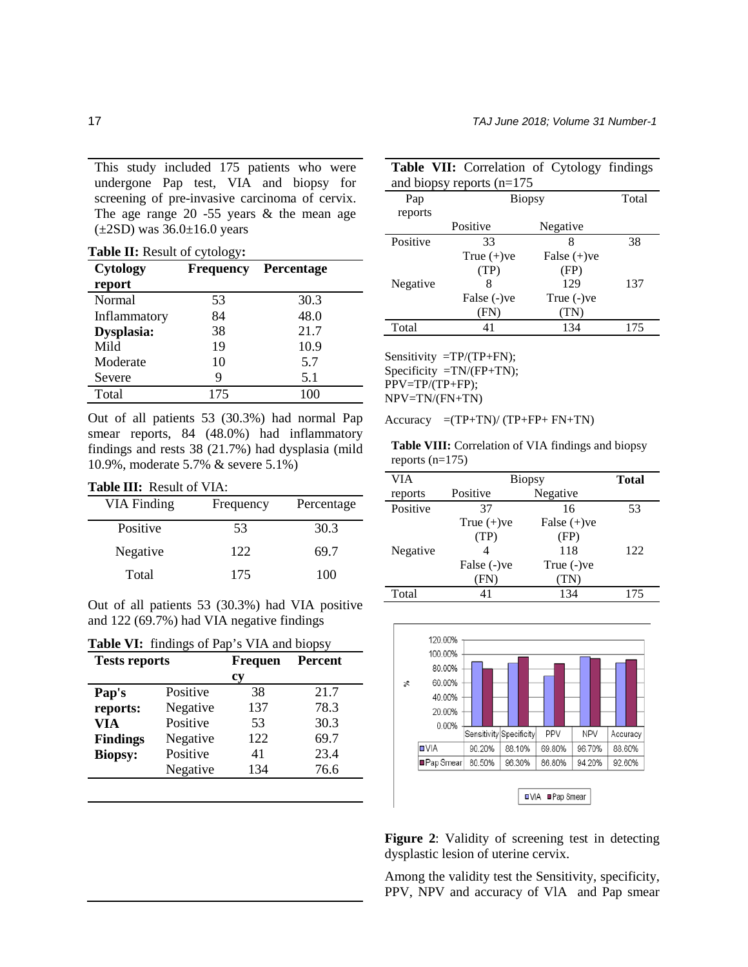This study included 175 patients who were undergone Pap test, VIA and biopsy for screening of pre-invasive carcinoma of cervix. The age range  $20 -55$  years  $&$  the mean age  $(\pm 2SD)$  was 36.0 $\pm 16.0$  years

**Table II:** Result of cytology**:**

| <b>Cytology</b><br>report | <b>Frequency</b> | <b>Percentage</b> |
|---------------------------|------------------|-------------------|
| Normal                    | 53               | 30.3              |
| Inflammatory              | 84               | 48.0              |
| Dysplasia:                | 38               | 21.7              |
| Mild                      | 19               | 10.9              |
| Moderate                  | 10               | 5.7               |
| Severe                    | 9                | 5.1               |
| Total                     | 175              | 100               |

Out of all patients 53 (30.3%) had normal Pap smear reports, 84 (48.0%) had inflammatory findings and rests 38 (21.7%) had dysplasia (mild 10.9%, moderate 5.7% & severe 5.1%)

#### **Table III:** Result of VIA:

| VIA Finding | Frequency | Percentage |
|-------------|-----------|------------|
| Positive    | 53        | 30.3       |
| Negative    | 122       | 69.7       |
| Total       | 175       | 100        |

Out of all patients 53 (30.3%) had VIA positive and 122 (69.7%) had VIA negative findings

|  |  | <b>Table VI:</b> findings of Pap's VIA and biopsy |  |
|--|--|---------------------------------------------------|--|
|--|--|---------------------------------------------------|--|

| <b>Tests reports</b>        |          | <b>Frequen</b> | <b>Percent</b> |
|-----------------------------|----------|----------------|----------------|
|                             |          | сy             |                |
| Pap's                       | Positive | 38             | 21.7           |
| reports:<br>Negative        |          | 137            | 78.3           |
| Positive<br>VIA             |          | 53             | 30.3           |
| Negative<br><b>Findings</b> |          | 122            | 69.7           |
| Positive<br><b>Biopsy:</b>  |          | 41             | 23.4           |
|                             | Negative | 134            | 76.6           |
|                             |          |                |                |

|          | <b>Table VII:</b> Correlation of Cytology findings |                |       |  |  |  |  |
|----------|----------------------------------------------------|----------------|-------|--|--|--|--|
|          | and biopsy reports $(n=175)$                       |                |       |  |  |  |  |
| Pap      | <b>Biopsy</b>                                      |                | Total |  |  |  |  |
| reports  |                                                    |                |       |  |  |  |  |
|          | Positive                                           | Negative       |       |  |  |  |  |
| Positive | 33                                                 | 8              | 38    |  |  |  |  |
|          | True $(+)$ ve                                      | False $(+)$ ve |       |  |  |  |  |
|          | (TP)                                               | (FP)           |       |  |  |  |  |
| Negative | 8                                                  | 129            | 137   |  |  |  |  |
|          | False (-)ve                                        | True (-)ve     |       |  |  |  |  |
|          | (FN)                                               | TN)            |       |  |  |  |  |
| Total    | 41                                                 | 134            | 175   |  |  |  |  |

Sensitivity  $=TP/(TP+FN)$ ; Specificity  $=TN/(FP+TN)$ ; PPV=TP/(TP+FP); NPV=TN/(FN+TN)

Accuracy  $=(TP+TN)/(TP+FP+FN+TN)$ 

**Table VIII:** Correlation of VIA findings and biopsy reports  $(n=175)$ 

| VIA      | <b>Biopsy</b>        | <b>Total</b>   |     |
|----------|----------------------|----------------|-----|
| reports  | Positive<br>Negative |                |     |
| Positive | 37<br>16             |                | 53  |
|          | True $(+)$ ve        | False $(+)$ ve |     |
|          | (TP)                 | (FP)           |     |
| Negative |                      | 118            | 122 |
|          | False (-) ve         | True $(-)$ ve  |     |
|          | (FN)                 | (TN)           |     |
| Total    | 41                   | 134            | 175 |



**Figure 2**: Validity of screening test in detecting dysplastic lesion of uterine cervix.

Among the validity test the Sensitivity, specificity, PPV, NPV and accuracy of VlA and Pap smear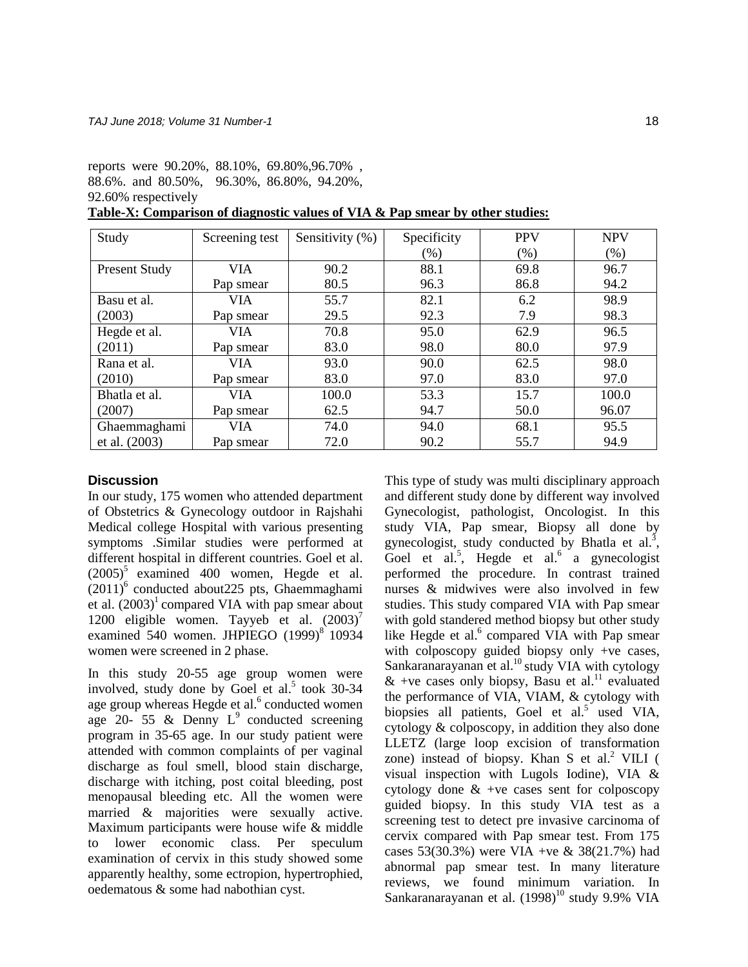reports were 90.20%, 88.10%, 69.80%,96.70% , 88.6%. and 80.50%, 96.30%, 86.80%, 94.20%, 92.60% respectively

**Table-X: Comparison of diagnostic values of VIA & Pap smear by other studies:**

| Study                | Screening test | Sensitivity (%) | Specificity | <b>PPV</b> | <b>NPV</b> |
|----------------------|----------------|-----------------|-------------|------------|------------|
|                      |                |                 | $(\% )$     | $(\%)$     | (%)        |
| <b>Present Study</b> | VIA.           | 90.2            | 88.1        | 69.8       | 96.7       |
|                      | Pap smear      | 80.5            | 96.3        | 86.8       | 94.2       |
| Basu et al.          | VIA            | 55.7            | 82.1        | 6.2        | 98.9       |
| (2003)               | Pap smear      | 29.5            | 92.3        | 7.9        | 98.3       |
| Hegde et al.         | VIA.           | 70.8            | 95.0        | 62.9       | 96.5       |
| (2011)               | Pap smear      | 83.0            | 98.0        | 80.0       | 97.9       |
| Rana et al.          | VIA            | 93.0            | 90.0        | 62.5       | 98.0       |
| (2010)               | Pap smear      | 83.0            | 97.0        | 83.0       | 97.0       |
| Bhatla et al.        | VIA.           | 100.0           | 53.3        | 15.7       | 100.0      |
| (2007)               | Pap smear      | 62.5            | 94.7        | 50.0       | 96.07      |
| Ghaemmaghami         | VIA            | 74.0            | 94.0        | 68.1       | 95.5       |
| et al. (2003)        | Pap smear      | 72.0            | 90.2        | 55.7       | 94.9       |

## **Discussion**

In our study, 175 women who attended department of Obstetrics & Gynecology outdoor in Rajshahi Medical college Hospital with various presenting symptoms .Similar studies were performed at different hospital in different countries. Goel et al.  $(2005)^5$  examined 400 women, Hegde et al.  $(2011)^6$  conducted about 225 pts, Ghaemmaghami et al.  $(2003)^1$  compared VIA with pap smear about 1200 eligible women. Tayyeb et al.  $(2003)^7$ examined 540 women. JHPIEGO  $(1999)^8$  10934 women were screened in 2 phase.

In this study 20-55 age group women were involved, study done by Goel et al.<sup>5</sup> took 30-34 age group whereas Hegde et al.<sup>6</sup> conducted women age 20- 55  $\&$  Denny L<sup>9</sup> conducted screening program in 35-65 age. In our study patient were attended with common complaints of per vaginal discharge as foul smell, blood stain discharge, discharge with itching, post coital bleeding, post menopausal bleeding etc. All the women were married & majorities were sexually active. Maximum participants were house wife & middle to lower economic class. Per speculum examination of cervix in this study showed some apparently healthy, some ectropion, hypertrophied, oedematous & some had nabothian cyst.

This type of study was multi disciplinary approach and different study done by different way involved Gynecologist, pathologist, Oncologist. In this study VIA, Pap smear, Biopsy all done by gynecologist, study conducted by Bhatla et al.<sup>3</sup>, Goel et al.<sup>5</sup>, Hegde et al.<sup>6</sup> a gynecologist performed the procedure. In contrast trained nurses & midwives were also involved in few studies. This study compared VIA with Pap smear with gold standered method biopsy but other study like Hegde et al. $6$  compared VIA with Pap smear with colposcopy guided biopsy only +ve cases, Sankaranarayanan et al. $^{10}$  study VIA with cytology  $&$  +ve cases only biopsy, Basu et al.<sup>11</sup> evaluated the performance of VIA, VIAM, & cytology with biopsies all patients, Goel et al.<sup>5</sup> used VIA, cytology & colposcopy, in addition they also done LLETZ (large loop excision of transformation zone) instead of biopsy. Khan S et al. $<sup>2</sup>$  VILI (</sup> visual inspection with Lugols Iodine), VIA & cytology done  $\&$  +ve cases sent for colposcopy guided biopsy. In this study VIA test as a screening test to detect pre invasive carcinoma of cervix compared with Pap smear test. From 175 cases 53(30.3%) were VIA +ve & 38(21.7%) had abnormal pap smear test. In many literature reviews, we found minimum variation. In Sankaranarayanan et al.  $(1998)^{10}$  study 9.9% VIA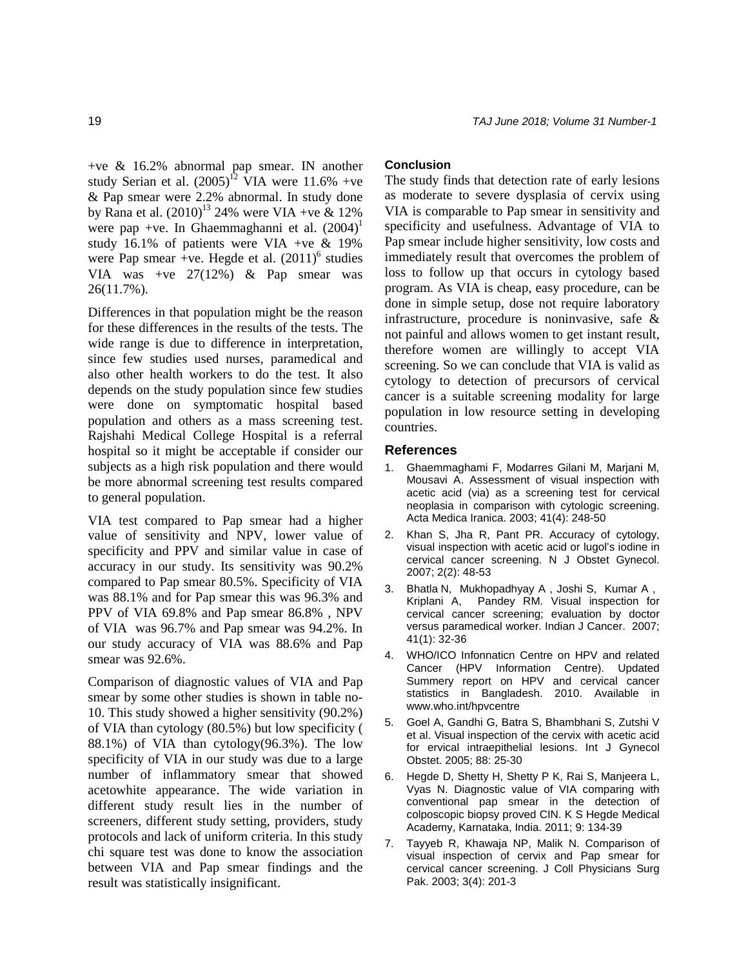+ve & 16.2% abnormal pap smear. IN another study Serian et al.  $(2005)^{12}$  VIA were 11.6% +ve & Pap smear were 2.2% abnormal. In study done by Rana et al.  $(2010)^{13}$  24% were VIA +ve & 12% were pap +ve. In Ghaemmaghanni et al.  $(2004)^1$ study 16.1% of patients were VIA +ve & 19% were Pap smear +ve. Hegde et al.  $(2011)^6$  studies VIA was +ve 27(12%) & Pap smear was 26(11.7%).

Differences in that population might be the reason for these differences in the results of the tests. The wide range is due to difference in interpretation, since few studies used nurses, paramedical and also other health workers to do the test. It also depends on the study population since few studies were done on symptomatic hospital based population and others as a mass screening test. Rajshahi Medical College Hospital is a referral hospital so it might be acceptable if consider our subjects as a high risk population and there would be more abnormal screening test results compared to general population.

VIA test compared to Pap smear had a higher value of sensitivity and NPV, lower value of specificity and PPV and similar value in case of accuracy in our study. Its sensitivity was 90.2% compared to Pap smear 80.5%. Specificity of VIA was 88.1% and for Pap smear this was 96.3% and PPV of VIA 69.8% and Pap smear 86.8% , NPV of VIA was 96.7% and Pap smear was 94.2%. In our study accuracy of VIA was 88.6% and Pap smear was 92.6%.

Comparison of diagnostic values of VIA and Pap smear by some other studies is shown in table no-10. This study showed a higher sensitivity (90.2%) of VIA than cytology (80.5%) but low specificity ( 88.1%) of VIA than cytology(96.3%). The low specificity of VIA in our study was due to a large number of inflammatory smear that showed acetowhite appearance. The wide variation in different study result lies in the number of screeners, different study setting, providers, study protocols and lack of uniform criteria. In this study chi square test was done to know the association between VIA and Pap smear findings and the result was statistically insignificant.

## **Conclusion**

The study finds that detection rate of early lesions as moderate to severe dysplasia of cervix using VIA is comparable to Pap smear in sensitivity and specificity and usefulness. Advantage of VIA to Pap smear include higher sensitivity, low costs and immediately result that overcomes the problem of loss to follow up that occurs in cytology based program. As VIA is cheap, easy procedure, can be done in simple setup, dose not require laboratory infrastructure, procedure is noninvasive, safe & not painful and allows women to get instant result, therefore women are willingly to accept VIA screening. So we can conclude that VIA is valid as cytology to detection of precursors of cervical cancer is a suitable screening modality for large population in low resource setting in developing countries.

#### **References**

- 1. Ghaemmaghami F, Modarres Gilani M, Marjani M, Mousavi A. Assessment of visual inspection with acetic acid (via) as a screening test for cervical neoplasia in comparison with cytologic screening. Acta Medica Iranica. 2003; 41(4): 248-50
- 2. Khan S, Jha R, Pant PR. Accuracy of cytology, visual inspection with acetic acid or lugol's iodine in cervical cancer screening. N J Obstet Gynecol. 2007; 2(2): 48-53
- 3. [Bhatla](http://www.indianjcancer.com/searchresult.asp?search=&author=Neerja+Bhatla&journal=Y&but_search=Search&entries=10&pg=1&s=0) N, [Mukhopadhyay](http://www.indianjcancer.com/searchresult.asp?search=&author=A+Mukhopadhyay&journal=Y&but_search=Search&entries=10&pg=1&s=0) A , [Joshi](http://www.indianjcancer.com/searchresult.asp?search=&author=S+Joshi&journal=Y&but_search=Search&entries=10&pg=1&s=0) S, [Kumar](http://www.indianjcancer.com/searchresult.asp?search=&author=A+Kumar&journal=Y&but_search=Search&entries=10&pg=1&s=0) A , [Kriplani](http://www.indianjcancer.com/searchresult.asp?search=&author=A+Kriplani&journal=Y&but_search=Search&entries=10&pg=1&s=0) A, [Pandey](http://www.indianjcancer.com/searchresult.asp?search=&author=RM+Pandey&journal=Y&but_search=Search&entries=10&pg=1&s=0) RM. Visual inspection for cervical cancer screening; evaluation by doctor versus paramedical worker. Indian J Cancer. 2007; 41(1): 32-36
- 4. WHO/ICO Infonnaticn Centre on HPV and related Cancer (HPV Information Centre). Updated Summery report on HPV and cervical cancer statistics in Bangladesh. 2010. Available in [www.who.int/hpvcentre](http://www.who.int/hpvcentre)
- 5. Goel A, Gandhi G, Batra S, Bhambhani S, Zutshi V et al. Visual inspection of the cervix with acetic acid for ervical intraepithelial lesions. Int J Gynecol Obstet. 2005; 88: 25-30
- 6. Hegde D, Shetty H, Shetty P K, Rai S, Manjeera L, Vyas N. Diagnostic value of VIA comparing with conventional pap smear in the detection of colposcopic biopsy proved CIN. K S Hegde Medical Academy, Karnataka, India. 2011; 9: 134-39
- 7. [Tayyeb R,](http://www.ncbi.nlm.nih.gov/pubmed?term=Tayyeb%20R%5BAuthor%5D&cauthor=true&cauthor_uid=12718787) [Khawaja NP,](http://www.ncbi.nlm.nih.gov/pubmed?term=Khawaja%20NP%5BAuthor%5D&cauthor=true&cauthor_uid=12718787) [Malik N.](http://www.ncbi.nlm.nih.gov/pubmed?term=Malik%20N%5BAuthor%5D&cauthor=true&cauthor_uid=12718787) Comparison of visual inspection of cervix and Pap smear for cervical cancer screening. [J Coll Physicians Surg](http://www.ncbi.nlm.nih.gov/pubmed/12718787)  [Pak.](http://www.ncbi.nlm.nih.gov/pubmed/12718787) 2003; 3(4): 201-3